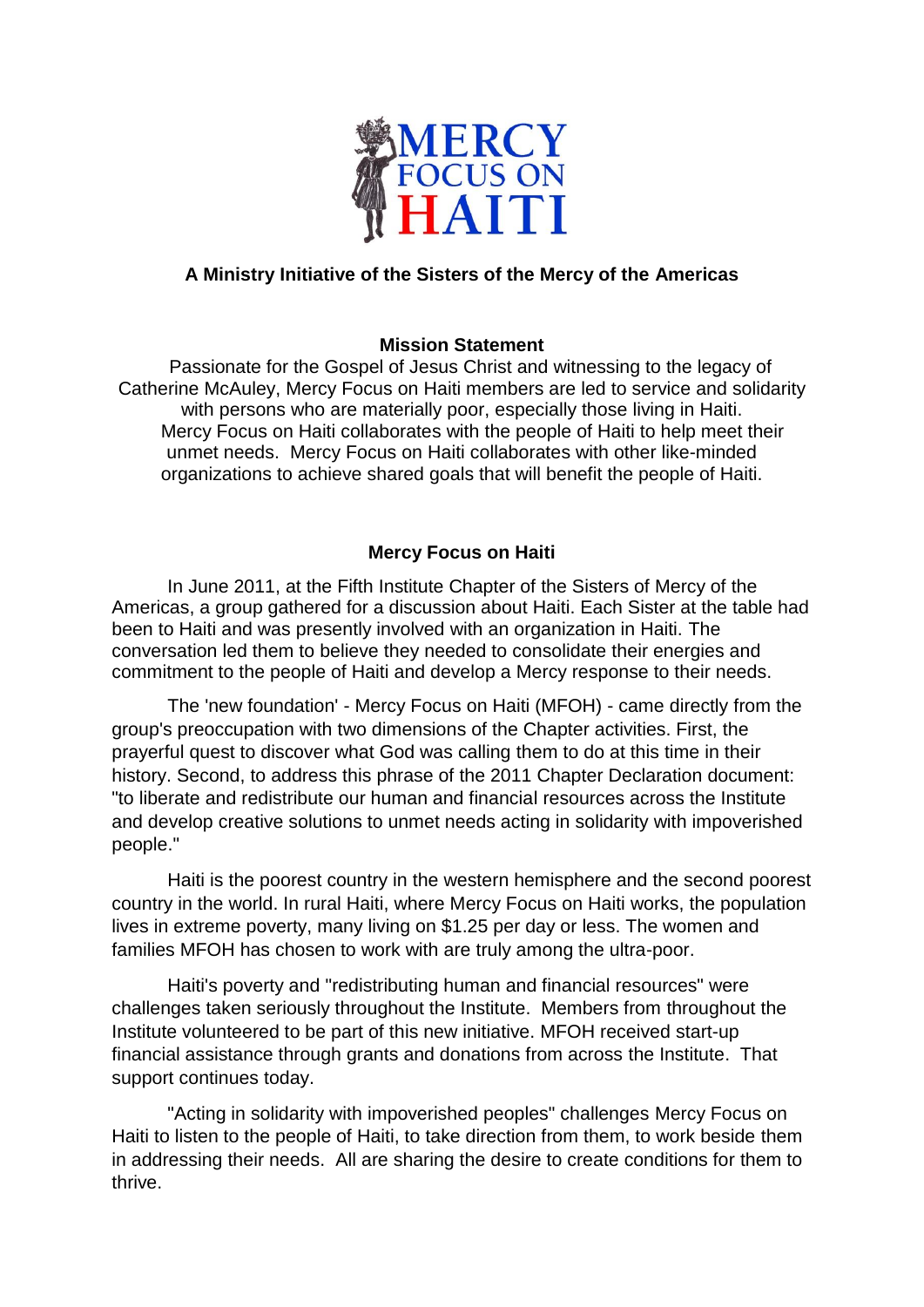

## **A Ministry Initiative of the Sisters of the Mercy of the Americas**

## **Mission Statement**

 Passionate for the Gospel of Jesus Christ and witnessing to the legacy of Catherine McAuley, Mercy Focus on Haiti members are led to service and solidarity with persons who are materially poor, especially those living in Haiti. Mercy Focus on Haiti collaborates with the people of Haiti to help meet their unmet needs. Mercy Focus on Haiti collaborates with other like-minded organizations to achieve shared goals that will benefit the people of Haiti.

## **Mercy Focus on Haiti**

In June 2011, at the Fifth Institute Chapter of the Sisters of Mercy of the Americas, a group gathered for a discussion about Haiti. Each Sister at the table had been to Haiti and was presently involved with an organization in Haiti. The conversation led them to believe they needed to consolidate their energies and commitment to the people of Haiti and develop a Mercy response to their needs.

The 'new foundation' - Mercy Focus on Haiti (MFOH) - came directly from the group's preoccupation with two dimensions of the Chapter activities. First, the prayerful quest to discover what God was calling them to do at this time in their history. Second, to address this phrase of the 2011 Chapter Declaration document: "to liberate and redistribute our human and financial resources across the Institute and develop creative solutions to unmet needs acting in solidarity with impoverished people."

Haiti is the poorest country in the western hemisphere and the second poorest country in the world. In rural Haiti, where Mercy Focus on Haiti works, the population lives in extreme poverty, many living on \$1.25 per day or less. The women and families MFOH has chosen to work with are truly among the ultra-poor.

Haiti's poverty and "redistributing human and financial resources" were challenges taken seriously throughout the Institute. Members from throughout the Institute volunteered to be part of this new initiative. MFOH received start-up financial assistance through grants and donations from across the Institute. That support continues today.

"Acting in solidarity with impoverished peoples" challenges Mercy Focus on Haiti to listen to the people of Haiti, to take direction from them, to work beside them in addressing their needs. All are sharing the desire to create conditions for them to thrive.